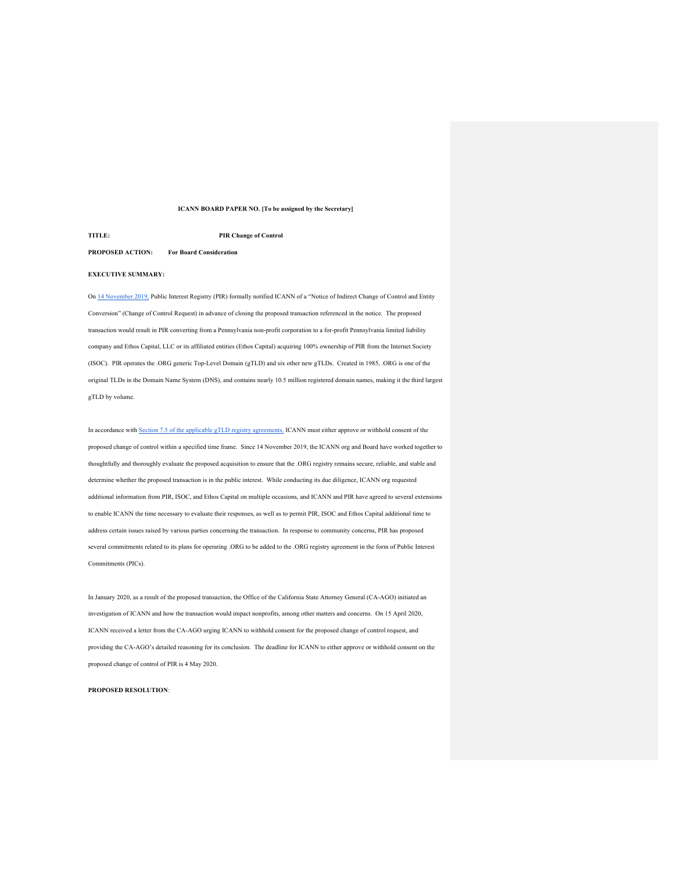# **ICANN BOARD PAPER NO. [To be assigned by the Secretary]**

# **TITLE: PIR Change of Control**

# **PROPOSED ACTION: For Board Consideration**

# **EXECUTIVE SUMMARY:**

On 14 November 2019, Public Interest Registry (PIR) formally notified ICANN of a "Notice of Indirect Change of Control and Entity Conversion" (Change of Control Request) in advance of closing the proposed transaction referenced in the notice. The proposed transaction would result in PIR converting from a Pennsylvania non-profit corporation to a for-profit Pennsylvania limited liability company and Ethos Capital, LLC or its affiliated entities (Ethos Capital) acquiring 100% ownership of PIR from the Internet Society (ISOC). PIR operates the .ORG generic Top-Level Domain (gTLD) and six other new gTLDs. Created in 1985, .ORG is one of the original TLDs in the Domain Name System (DNS), and contains nearly 10.5 million registered domain names, making it the third largest gTLD by volume.

In accordance with Section 7.5 of the applicable gTLD registry agreements, ICANN must either approve or withhold consent of the proposed change of control within a specified time frame. Since 14 November 2019, the ICANN org and Board have worked together to thoughtfully and thoroughly evaluate the proposed acquisition to ensure that the .ORG registry remains secure, reliable, and stable and determine whether the proposed transaction is in the public interest. While conducting its due diligence, ICANN org requested additional information from PIR, ISOC, and Ethos Capital on multiple occasions, and ICANN and PIR have agreed to several extensions to enable ICANN the time necessary to evaluate their responses, as well as to permit PIR, ISOC and Ethos Capital additional time to address certain issues raised by various parties concerning the transaction. In response to community concerns, PIR has proposed several commitments related to its plans for operating .ORG to be added to the .ORG registry agreement in the form of Public Interest Commitments (PICs).

In January 2020, as a result of the proposed transaction, the Office of the California State Attorney General (CA-AGO) initiated an investigation of ICANN and how the transaction would impact nonprofits, among other matters and concerns. On 15 April 2020, ICANN received a letter from the CA-AGO urging ICANN to withhold consent for the proposed change of control request, and providing the CA-AGO's detailed reasoning for its conclusion. The deadline for ICANN to either approve or withhold consent on the proposed change of control of PIR is 4 May 2020.

## **PROPOSED RESOLUTION**: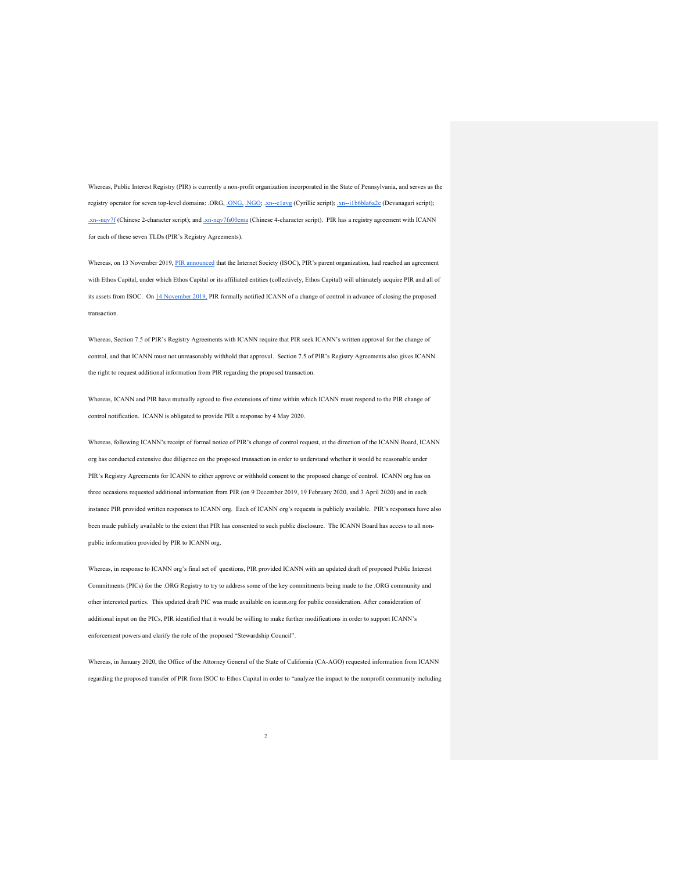Whereas, Public Interest Registry (PIR) is currently a non-profit organization incorporated in the State of Pennsylvania, and serves as the registry operator for seven top-level domains: .ORG, .ONG, .NGO; .xn--c1avg (Cyrillic script); .xn--i1b6bla6a2e (Devanagari script); .xn--nqv7f (Chinese 2-character script); and .xn-nqv7fs00ema (Chinese 4-character script). PIR has a registry agreement with ICANN for each of these seven TLDs (PIR's Registry Agreements).

Whereas, on 13 November 2019, PIR announced that the Internet Society (ISOC), PIR's parent organization, had reached an agreement with Ethos Capital, under which Ethos Capital or its affiliated entities (collectively, Ethos Capital) will ultimately acquire PIR and all of its assets from ISOC. On 14 November 2019, PIR formally notified ICANN of a change of control in advance of closing the proposed transaction.

Whereas, Section 7.5 of PIR's Registry Agreements with ICANN require that PIR seek ICANN's written approval for the change of control, and that ICANN must not unreasonably withhold that approval. Section 7.5 of PIR's Registry Agreements also gives ICANN the right to request additional information from PIR regarding the proposed transaction.

Whereas, ICANN and PIR have mutually agreed to five extensions of time within which ICANN must respond to the PIR change of control notification. ICANN is obligated to provide PIR a response by 4 May 2020.

Whereas, following ICANN's receipt of formal notice of PIR's change of control request, at the direction of the ICANN Board, ICANN org has conducted extensive due diligence on the proposed transaction in order to understand whether it would be reasonable under PIR's Registry Agreements for ICANN to either approve or withhold consent to the proposed change of control. ICANN org has on three occasions requested additional information from PIR (on 9 December 2019, 19 February 2020, and 3 April 2020) and in each instance PIR provided written responses to ICANN org. Each of ICANN org's requests is publicly available. PIR's responses have also been made publicly available to the extent that PIR has consented to such public disclosure. The ICANN Board has access to all nonpublic information provided by PIR to ICANN org.

Whereas, in response to ICANN org's final set of questions, PIR provided ICANN with an updated draft of proposed Public Interest Commitments (PICs) for the .ORG Registry to try to address some of the key commitments being made to the .ORG community and other interested parties. This updated draft PIC was made available on icann.org for public consideration. After consideration of additional input on the PICs, PIR identified that it would be willing to make further modifications in order to support ICANN's enforcement powers and clarify the role of the proposed "Stewardship Council".

Whereas, in January 2020, the Office of the Attorney General of the State of California (CA-AGO) requested information from ICANN regarding the proposed transfer of PIR from ISOC to Ethos Capital in order to "analyze the impact to the nonprofit community including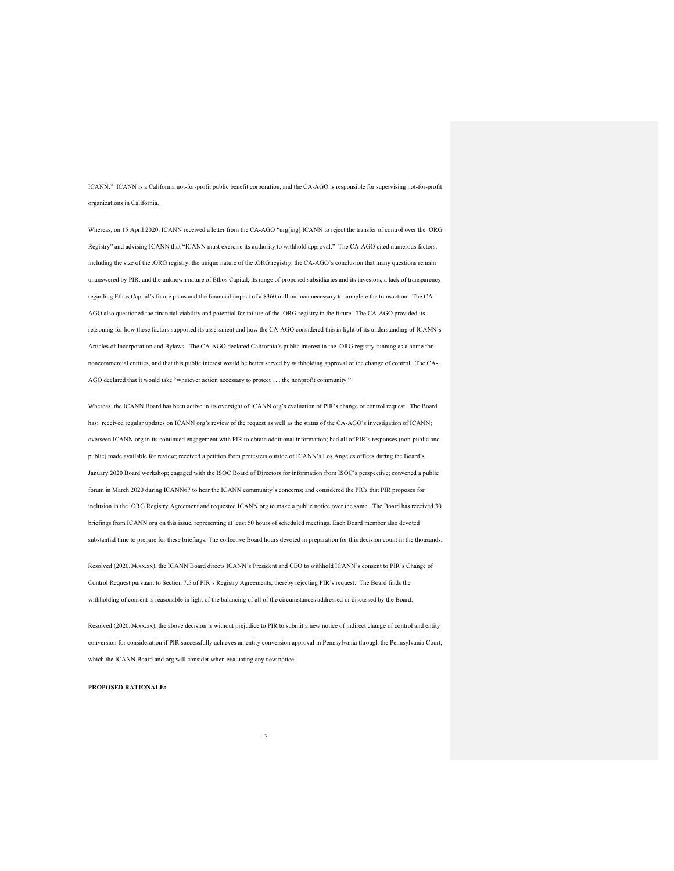ICANN." ICANN is a California not-for-profit public benefit corporation, and the CA-AGO is responsible for supervising not-for-profit organizations in California.

Whereas, on 15 April 2020, ICANN received a letter from the CA-AGO "urg[ing] ICANN to reject the transfer of control over the .ORG Registry" and advising ICANN that "ICANN must exercise its authority to withhold approval." The CA-AGO cited numerous factors, including the size of the .ORG registry, the unique nature of the .ORG registry, the CA-AGO's conclusion that many questions remain unanswered by PIR, and the unknown nature of Ethos Capital, its range of proposed subsidiaries and its investors, a lack of transparency regarding Ethos Capital's future plans and the financial impact of a \$360 million loan necessary to complete the transaction. The CA-AGO also questioned the financial viability and potential for failure of the .ORG registry in the future. The CA-AGO provided its reasoning for how these factors supported its assessment and how the CA-AGO considered this in light of its understanding of ICANN's Articles of Incorporation and Bylaws. The CA-AGO declared California's public interest in the .ORG registry running as a home for noncommercial entities, and that this public interest would be better served by withholding approval of the change of control. The CA-AGO declared that it would take "whatever action necessary to protect . . . the nonprofit community."

Whereas, the ICANN Board has been active in its oversight of ICANN org's evaluation of PIR's change of control request. The Board has: received regular updates on ICANN org's review of the request as well as the status of the CA-AGO's investigation of ICANN; overseen ICANN org in its continued engagement with PIR to obtain additional information; had all of PIR's responses (non-public and public) made available for review; received a petition from protesters outside of ICANN's Los Angeles offices during the Board's January 2020 Board workshop; engaged with the ISOC Board of Directors for information from ISOC's perspective; convened a public forum in March 2020 during ICANN67 to hear the ICANN community's concerns; and considered the PICs that PIR proposes for inclusion in the .ORG Registry Agreement and requested ICANN org to make a public notice over the same. The Board has received 30 briefings from ICANN org on this issue, representing at least 50 hours of scheduled meetings. Each Board member also devoted substantial time to prepare for these briefings. The collective Board hours devoted in preparation for this decision count in the thousands.

Resolved (2020.04.xx.xx), the ICANN Board directs ICANN's President and CEO to withhold ICANN's consent to PIR's Change of Control Request pursuant to Section 7.5 of PIR's Registry Agreements, thereby rejecting PIR's request. The Board finds the withholding of consent is reasonable in light of the balancing of all of the circumstances addressed or discussed by the Board.

Resolved (2020.04.xx.xx), the above decision is without prejudice to PIR to submit a new notice of indirect change of control and entity conversion for consideration if PIR successfully achieves an entity conversion approval in Pennsylvania through the Pennsylvania Court, which the ICANN Board and org will consider when evaluating any new notice.

3

## **PROPOSED RATIONALE:**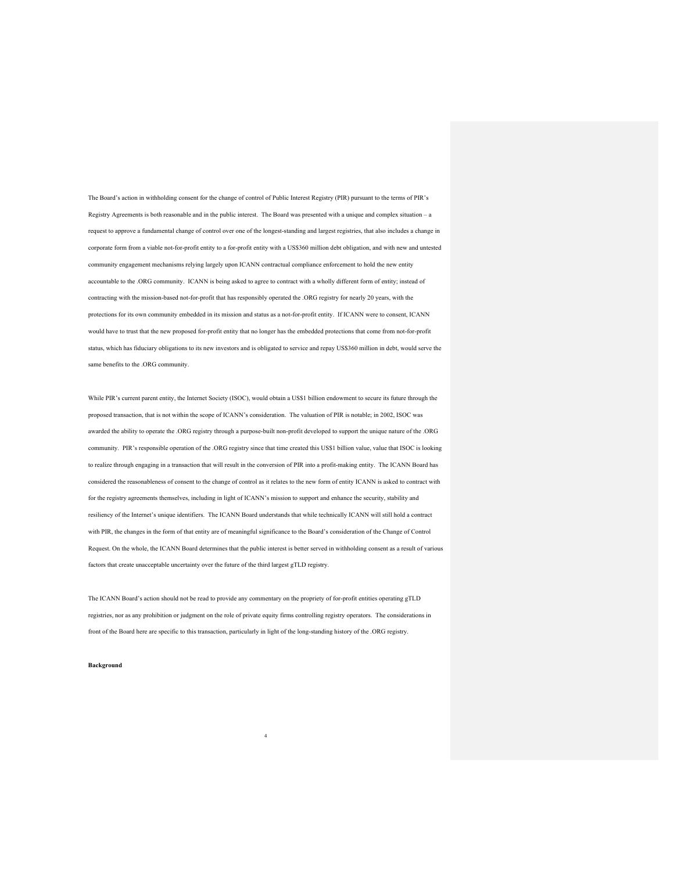The Board's action in withholding consent for the change of control of Public Interest Registry (PIR) pursuant to the terms of PIR's Registry Agreements is both reasonable and in the public interest. The Board was presented with a unique and complex situation – a request to approve a fundamental change of control over one of the longest-standing and largest registries, that also includes a change in corporate form from a viable not-for-profit entity to a for-profit entity with a US\$360 million debt obligation, and with new and untested community engagement mechanisms relying largely upon ICANN contractual compliance enforcement to hold the new entity accountable to the .ORG community. ICANN is being asked to agree to contract with a wholly different form of entity; instead of contracting with the mission-based not-for-profit that has responsibly operated the .ORG registry for nearly 20 years, with the protections for its own community embedded in its mission and status as a not-for-profit entity. If ICANN were to consent, ICANN would have to trust that the new proposed for-profit entity that no longer has the embedded protections that come from not-for-profit status, which has fiduciary obligations to its new investors and is obligated to service and repay US\$360 million in debt, would serve the same benefits to the .ORG community.

While PIR's current parent entity, the Internet Society (ISOC), would obtain a US\$1 billion endowment to secure its future through the proposed transaction, that is not within the scope of ICANN's consideration. The valuation of PIR is notable; in 2002, ISOC was awarded the ability to operate the .ORG registry through a purpose-built non-profit developed to support the unique nature of the .ORG community. PIR's responsible operation of the .ORG registry since that time created this US\$1 billion value, value that ISOC is looking to realize through engaging in a transaction that will result in the conversion of PIR into a profit-making entity. The ICANN Board has considered the reasonableness of consent to the change of control as it relates to the new form of entity ICANN is asked to contract with for the registry agreements themselves, including in light of ICANN's mission to support and enhance the security, stability and resiliency of the Internet's unique identifiers. The ICANN Board understands that while technically ICANN will still hold a contract with PIR, the changes in the form of that entity are of meaningful significance to the Board's consideration of the Change of Control Request. On the whole, the ICANN Board determines that the public interest is better served in withholding consent as a result of various factors that create unacceptable uncertainty over the future of the third largest gTLD registry.

The ICANN Board's action should not be read to provide any commentary on the propriety of for-profit entities operating gTLD registries, nor as any prohibition or judgment on the role of private equity firms controlling registry operators. The considerations in front of the Board here are specific to this transaction, particularly in light of the long-standing history of the .ORG registry.

4

**Background**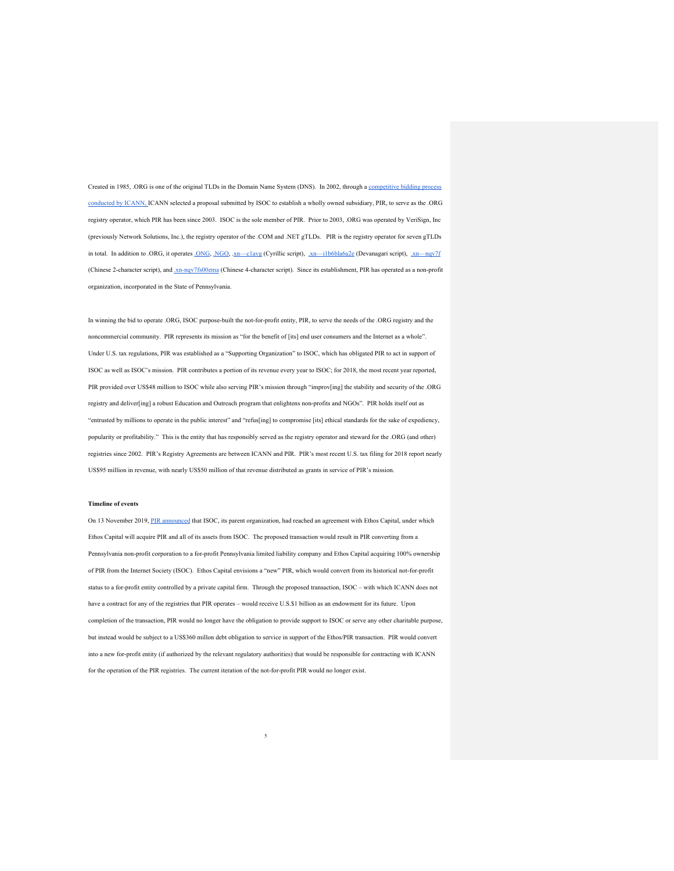Created in 1985, .ORG is one of the original TLDs in the Domain Name System (DNS). In 2002, through a competitive bidding process conducted by ICANN, ICANN selected a proposal submitted by ISOC to establish a wholly owned subsidiary, PIR, to serve as the .ORG registry operator, which PIR has been since 2003. ISOC is the sole member of PIR. Prior to 2003, .ORG was operated by VeriSign, Inc (previously Network Solutions, Inc.), the registry operator of the .COM and .NET gTLDs. PIR is the registry operator for seven gTLDs in total. In addition to .ORG, it operates .ONG, .NGO, .xn—c1avg (Cyrillic script),  $\overline{x}$ n—i1b6bla6a2e (Devanagari script),  $\overline{x}$ n—nqv7f (Chinese 2-character script), and .xn-nqv7fs00ema (Chinese 4-character script). Since its establishment, PIR has operated as a non-profit organization, incorporated in the State of Pennsylvania.

In winning the bid to operate .ORG, ISOC purpose-built the not-for-profit entity, PIR, to serve the needs of the .ORG registry and the noncommercial community. PIR represents its mission as "for the benefit of [its] end user consumers and the Internet as a whole". Under U.S. tax regulations, PIR was established as a "Supporting Organization" to ISOC, which has obligated PIR to act in support of ISOC as well as ISOC's mission. PIR contributes a portion of its revenue every year to ISOC; for 2018, the most recent year reported, PIR provided over US\$48 million to ISOC while also serving PIR's mission through "improv[ing] the stability and security of the .ORG registry and deliver[ing] a robust Education and Outreach program that enlightens non-profits and NGOs". PIR holds itself out as "entrusted by millions to operate in the public interest" and "refus[ing] to compromise [its] ethical standards for the sake of expediency, popularity or profitability." This is the entity that has responsibly served as the registry operator and steward for the .ORG (and other) registries since 2002. PIR's Registry Agreements are between ICANN and PIR. PIR's most recent U.S. tax filing for 2018 report nearly US\$95 million in revenue, with nearly US\$50 million of that revenue distributed as grants in service of PIR's mission.

#### **Timeline of events**

On 13 November 2019, PIR announced that ISOC, its parent organization, had reached an agreement with Ethos Capital, under which Ethos Capital will acquire PIR and all of its assets from ISOC. The proposed transaction would result in PIR converting from a Pennsylvania non-profit corporation to a for-profit Pennsylvania limited liability company and Ethos Capital acquiring 100% ownership of PIR from the Internet Society (ISOC). Ethos Capital envisions a "new" PIR, which would convert from its historical not-for-profit status to a for-profit entity controlled by a private capital firm. Through the proposed transaction, ISOC – with which ICANN does not have a contract for any of the registries that PIR operates – would receive U.S.\$1 billion as an endowment for its future. Upon completion of the transaction, PIR would no longer have the obligation to provide support to ISOC or serve any other charitable purpose, but instead would be subject to a US\$360 millon debt obligation to service in support of the Ethos/PIR transaction. PIR would convert into a new for-profit entity (if authorized by the relevant regulatory authorities) that would be responsible for contracting with ICANN for the operation of the PIR registries. The current iteration of the not-for-profit PIR would no longer exist.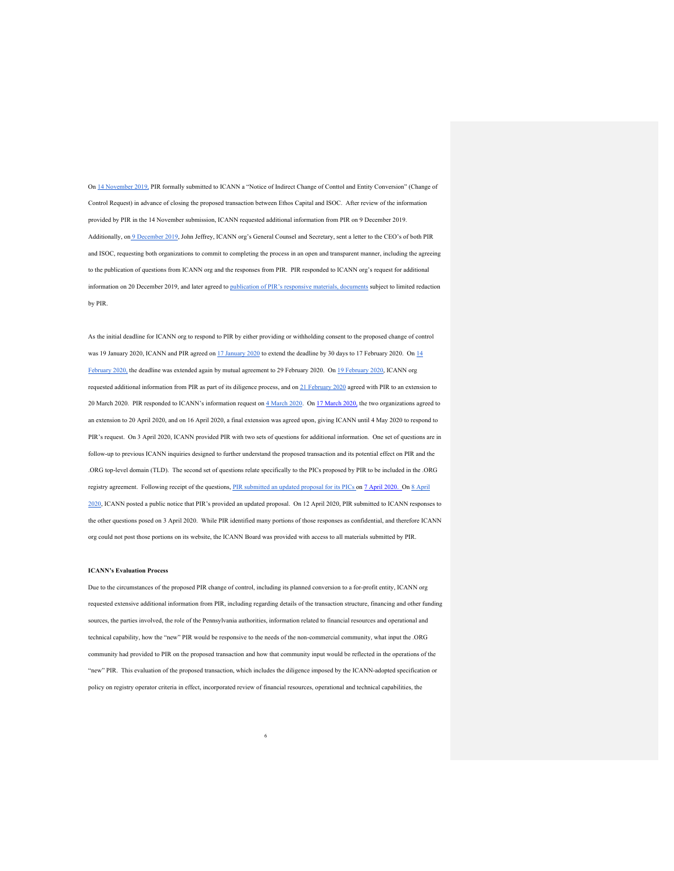On 14 November 2019, PIR formally submitted to ICANN a "Notice of Indirect Change of Conttol and Entity Conversion" (Change of Control Request) in advance of closing the proposed transaction between Ethos Capital and ISOC. After review of the information provided by PIR in the 14 November submission, ICANN requested additional information from PIR on 9 December 2019. Additionally, on 9 December 2019, John Jeffrey, ICANN org's General Counsel and Secretary, sent a letter to the CEO's of both PIR and ISOC, requesting both organizations to commit to completing the process in an open and transparent manner, including the agreeing to the publication of questions from ICANN org and the responses from PIR. PIR responded to ICANN org's request for additional information on 20 December 2019, and later agreed to publication of PIR's responsive materials, documents subject to limited redaction by PIR.

As the initial deadline for ICANN org to respond to PIR by either providing or withholding consent to the proposed change of control was 19 January 2020, ICANN and PIR agreed on 17 January 2020 to extend the deadline by 30 days to 17 February 2020. On 14 February 2020, the deadline was extended again by mutual agreement to 29 February 2020. On 19 February 2020, ICANN org requested additional information from PIR as part of its diligence process, and on 21 February 2020 agreed with PIR to an extension to 20 March 2020. PIR responded to ICANN's information request on  $4$  March 2020. On 17 March 2020, the two organizations agreed to an extension to 20 April 2020, and on 16 April 2020, a final extension was agreed upon, giving ICANN until 4 May 2020 to respond to PIR's request. On 3 April 2020, ICANN provided PIR with two sets of questions for additional information. One set of questions are in follow-up to previous ICANN inquiries designed to further understand the proposed transaction and its potential effect on PIR and the .ORG top-level domain (TLD). The second set of questions relate specifically to the PICs proposed by PIR to be included in the .ORG registry agreement. Following receipt of the questions, PIR submitted an updated proposal for its PICs on 7 April 2020. On 8 April 2020, ICANN posted a public notice that PIR's provided an updated proposal. On 12 April 2020, PIR submitted to ICANN responses to the other questions posed on 3 April 2020. While PIR identified many portions of those responses as confidential, and therefore ICANN org could not post those portions on its website, the ICANN Board was provided with access to all materials submitted by PIR.

#### **ICANN's Evaluation Process**

Due to the circumstances of the proposed PIR change of control, including its planned conversion to a for-profit entity, ICANN org requested extensive additional information from PIR, including regarding details of the transaction structure, financing and other funding sources, the parties involved, the role of the Pennsylvania authorities, information related to financial resources and operational and technical capability, how the "new" PIR would be responsive to the needs of the non-commercial community, what input the .ORG community had provided to PIR on the proposed transaction and how that community input would be reflected in the operations of the "new" PIR. This evaluation of the proposed transaction, which includes the diligence imposed by the ICANN-adopted specification or policy on registry operator criteria in effect, incorporated review of financial resources, operational and technical capabilities, the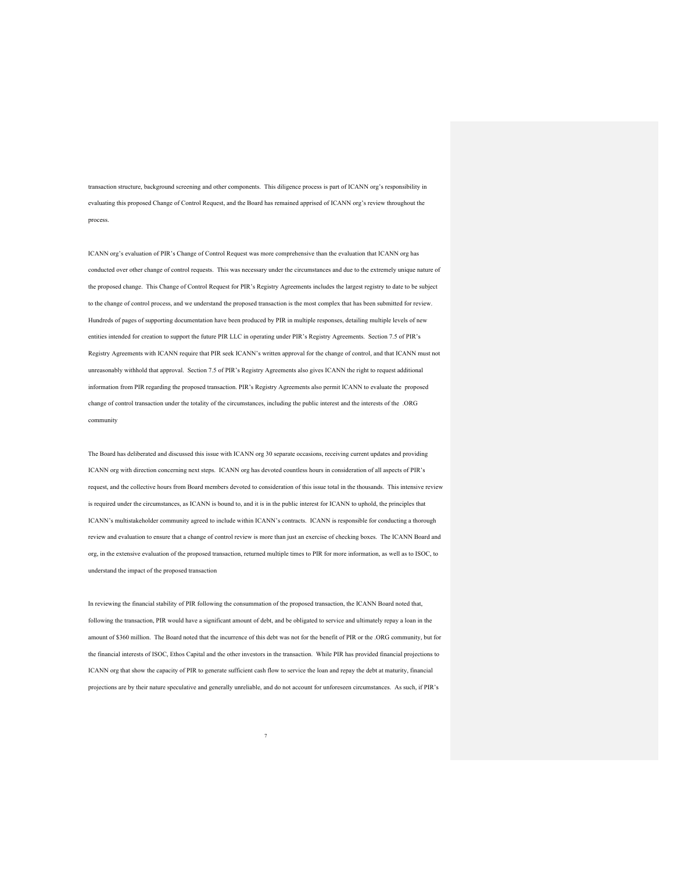transaction structure, background screening and other components. This diligence process is part of ICANN org's responsibility in evaluating this proposed Change of Control Request, and the Board has remained apprised of ICANN org's review throughout the process.

ICANN org's evaluation of PIR's Change of Control Request was more comprehensive than the evaluation that ICANN org has conducted over other change of control requests. This was necessary under the circumstances and due to the extremely unique nature of the proposed change. This Change of Control Request for PIR's Registry Agreements includes the largest registry to date to be subject to the change of control process, and we understand the proposed transaction is the most complex that has been submitted for review. Hundreds of pages of supporting documentation have been produced by PIR in multiple responses, detailing multiple levels of new entities intended for creation to support the future PIR LLC in operating under PIR's Registry Agreements. Section 7.5 of PIR's Registry Agreements with ICANN require that PIR seek ICANN's written approval for the change of control, and that ICANN must not unreasonably withhold that approval. Section 7.5 of PIR's Registry Agreements also gives ICANN the right to request additional information from PIR regarding the proposed transaction. PIR's Registry Agreements also permit ICANN to evaluate the proposed change of control transaction under the totality of the circumstances, including the public interest and the interests of the .ORG community

The Board has deliberated and discussed this issue with ICANN org 30 separate occasions, receiving current updates and providing ICANN org with direction concerning next steps. ICANN org has devoted countless hours in consideration of all aspects of PIR's request, and the collective hours from Board members devoted to consideration of this issue total in the thousands. This intensive review is required under the circumstances, as ICANN is bound to, and it is in the public interest for ICANN to uphold, the principles that ICANN's multistakeholder community agreed to include within ICANN's contracts. ICANN is responsible for conducting a thorough review and evaluation to ensure that a change of control review is more than just an exercise of checking boxes. The ICANN Board and org, in the extensive evaluation of the proposed transaction, returned multiple times to PIR for more information, as well as to ISOC, to understand the impact of the proposed transaction

In reviewing the financial stability of PIR following the consummation of the proposed transaction, the ICANN Board noted that, following the transaction, PIR would have a significant amount of debt, and be obligated to service and ultimately repay a loan in the amount of \$360 million. The Board noted that the incurrence of this debt was not for the benefit of PIR or the .ORG community, but for the financial interests of ISOC, Ethos Capital and the other investors in the transaction. While PIR has provided financial projections to ICANN org that show the capacity of PIR to generate sufficient cash flow to service the loan and repay the debt at maturity, financial projections are by their nature speculative and generally unreliable, and do not account for unforeseen circumstances. As such, if PIR's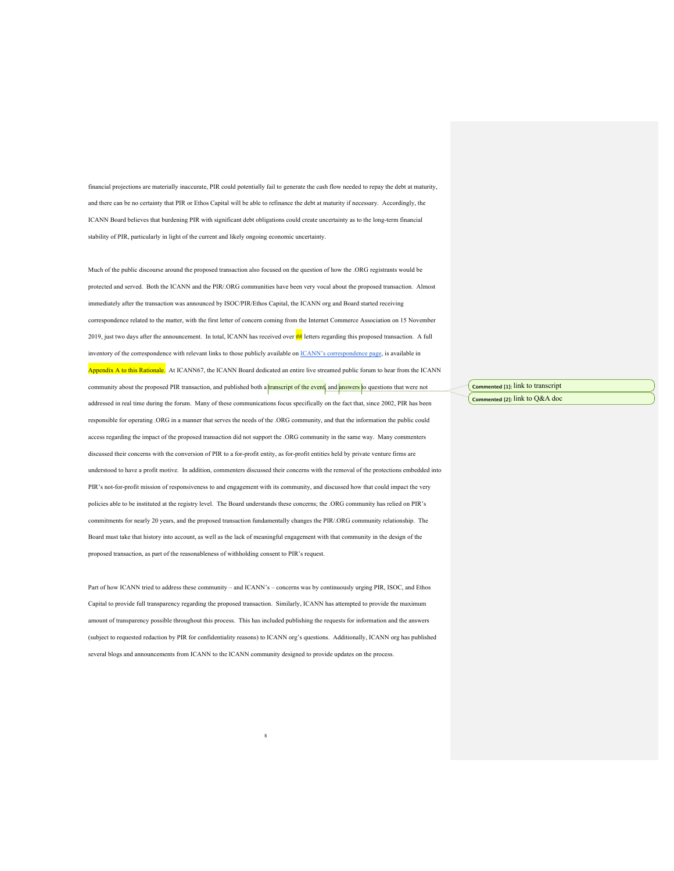financial projections are materially inaccurate, PIR could potentially fail to generate the cash flow needed to repay the debt at maturity, and there can be no certainty that PIR or Ethos Capital will be able to refinance the debt at maturity if necessary. Accordingly, the ICANN Board believes that burdening PIR with significant debt obligations could create uncertainty as to the long-term financial stability of PIR, particularly in light of the current and likely ongoing economic uncertainty.

Much of the public discourse around the proposed transaction also focused on the question of how the .ORG registrants would be protected and served. Both the ICANN and the PIR/.ORG communities have been very vocal about the proposed transaction. Almost immediately after the transaction was announced by ISOC/PIR/Ethos Capital, the ICANN org and Board started receiving correspondence related to the matter, with the first letter of concern coming from the Internet Commerce Association on 15 November 2019, just two days after the announcement. In total, ICANN has received over ## letters regarding this proposed transaction. A full inventory of the correspondence with relevant links to those publicly available on *ICANN's* correspondence page, is available in Appendix A to this Rationale. At ICANN67, the ICANN Board dedicated an entire live streamed public forum to hear from the ICANN community about the proposed PIR transaction, and published both a **transcript of the event**, and **answers** to questions that were not addressed in real time during the forum. Many of these communications focus specifically on the fact that, since 2002, PIR has been responsible for operating .ORG in a manner that serves the needs of the .ORG community, and that the information the public could access regarding the impact of the proposed transaction did not support the .ORG community in the same way. Many commenters discussed their concerns with the conversion of PIR to a for-profit entity, as for-profit entities held by private venture firms are understood to have a profit motive. In addition, commenters discussed their concerns with the removal of the protections embedded into PIR's not-for-profit mission of responsiveness to and engagement with its community, and discussed how that could impact the very policies able to be instituted at the registry level. The Board understands these concerns; the .ORG community has relied on PIR's commitments for nearly 20 years, and the proposed transaction fundamentally changes the PIR/.ORG community relationship. The Board must take that history into account, as well as the lack of meaningful engagement with that community in the design of the proposed transaction, as part of the reasonableness of withholding consent to PIR's request.

Part of how ICANN tried to address these community – and ICANN's – concerns was by continuously urging PIR, ISOC, and Ethos Capital to provide full transparency regarding the proposed transaction. Similarly, ICANN has attempted to provide the maximum amount of transparency possible throughout this process. This has included publishing the requests for information and the answers (subject to requested redaction by PIR for confidentiality reasons) to ICANN org's questions. Additionally, ICANN org has published several blogs and announcements from ICANN to the ICANN community designed to provide updates on the process.

8

**Commented [1]:** link to transcript **Commented [2]:** link to Q&A doc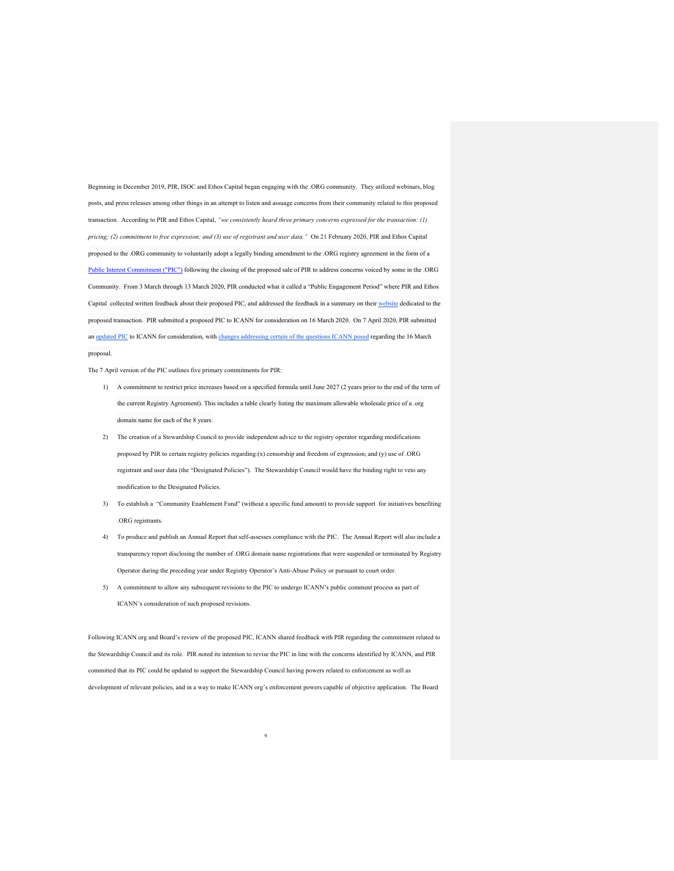Beginning in December 2019, PIR, ISOC and Ethos Capital began engaging with the .ORG community. They utilized webinars, blog posts, and press releases among other things in an attempt to listen and assuage concerns from their community related to this proposed transaction. According to PIR and Ethos Capital, *"we consistently heard three primary concerns expressed for the transaction: (1) pricing; (2) commitment to free expression; and (3) use of registrant and user data."* On 21 February 2020, PIR and Ethos Capital proposed to the .ORG community to voluntarily adopt a legally binding amendment to the .ORG registry agreement in the form of a Public Interest Commitment ("PIC") following the closing of the proposed sale of PIR to address concerns voiced by some in the .ORG Community. From 3 March through 13 March 2020, PIR conducted what it called a "Public Engagement Period" where PIR and Ethos Capital collected written feedback about their proposed PIC, and addressed the feedback in a summary on their website dedicated to the proposed transaction. PIR submitted a proposed PIC to ICANN for consideration on 16 March 2020. On 7 April 2020, PIR submitted an updated PIC to ICANN for consideration, with changes addressing certain of the questions ICANN posed regarding the 16 March proposal.

The 7 April version of the PIC outlines five primary commitments for PIR:

- 1) A commitment to restrict price increases based on a specified formula until June 2027 (2 years prior to the end of the term of the current Registry Agreement). This includes a table clearly listing the maximum allowable wholesale price of a .org domain name for each of the 8 years.
- 2) The creation of a Stewardship Council to provide independent advice to the registry operator regarding modifications proposed by PIR to certain registry policies regarding:(x) censorship and freedom of expression; and (y) use of .ORG registrant and user data (the "Designated Policies"). The Stewardship Council would have the binding right to veto any modification to the Designated Policies.
- 3) To establish a "Community Enablement Fund" (without a specific fund amount) to provide support for initiatives benefiting .ORG registrants.
- 4) To produce and publish an Annual Report that self-assesses compliance with the PIC. The Annual Report will also include a transparency report disclosing the number of .ORG domain name registrations that were suspended or terminated by Registry Operator during the preceding year under Registry Operator's Anti-Abuse Policy or pursuant to court order.
- 5) A commitment to allow any subsequent revisions to the PIC to undergo ICANN's public comment process as part of ICANN's consideration of such proposed revisions.

Following ICANN org and Board's review of the proposed PIC, ICANN shared feedback with PIR regarding the commitment related to the Stewardship Council and its role. PIR noted its intention to revise the PIC in line with the concerns identified by ICANN, and PIR committed that its PIC could be updated to support the Stewardship Council having powers related to enforcement as well as development of relevant policies, and in a way to make ICANN org's enforcement powers capable of objective application. The Board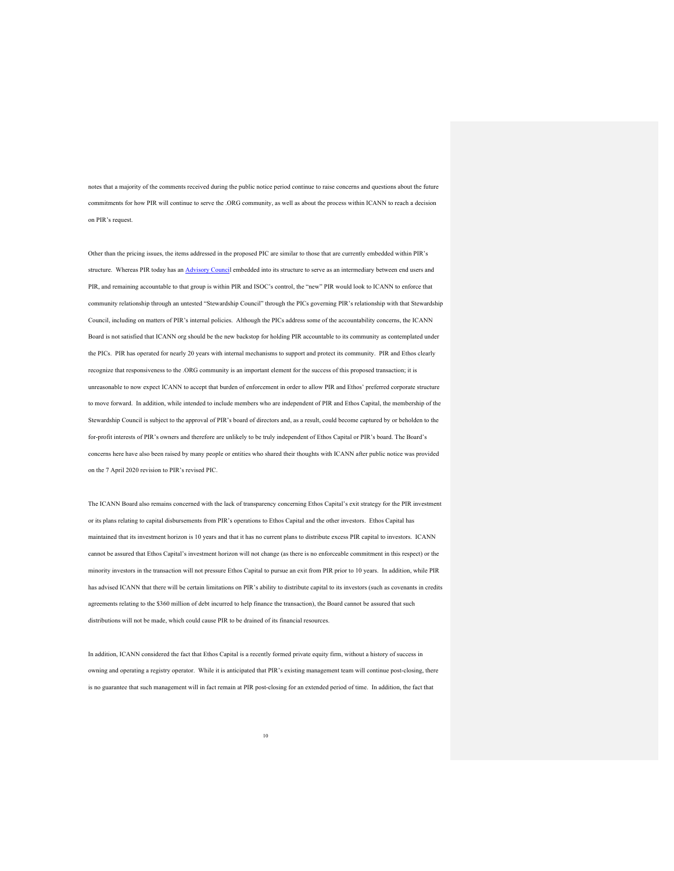notes that a majority of the comments received during the public notice period continue to raise concerns and questions about the future commitments for how PIR will continue to serve the .ORG community, as well as about the process within ICANN to reach a decision on PIR's request.

Other than the pricing issues, the items addressed in the proposed PIC are similar to those that are currently embedded within PIR's structure. Whereas PIR today has an Advisory Council embedded into its structure to serve as an intermediary between end users and PIR, and remaining accountable to that group is within PIR and ISOC's control, the "new" PIR would look to ICANN to enforce that community relationship through an untested "Stewardship Council" through the PICs governing PIR's relationship with that Stewardship Council, including on matters of PIR's internal policies. Although the PICs address some of the accountability concerns, the ICANN Board is not satisfied that ICANN org should be the new backstop for holding PIR accountable to its community as contemplated under the PICs. PIR has operated for nearly 20 years with internal mechanisms to support and protect its community. PIR and Ethos clearly recognize that responsiveness to the .ORG community is an important element for the success of this proposed transaction; it is unreasonable to now expect ICANN to accept that burden of enforcement in order to allow PIR and Ethos' preferred corporate structure to move forward. In addition, while intended to include members who are independent of PIR and Ethos Capital, the membership of the Stewardship Council is subject to the approval of PIR's board of directors and, as a result, could become captured by or beholden to the for-profit interests of PIR's owners and therefore are unlikely to be truly independent of Ethos Capital or PIR's board. The Board's concerns here have also been raised by many people or entities who shared their thoughts with ICANN after public notice was provided on the 7 April 2020 revision to PIR's revised PIC.

The ICANN Board also remains concerned with the lack of transparency concerning Ethos Capital's exit strategy for the PIR investment or its plans relating to capital disbursements from PIR's operations to Ethos Capital and the other investors. Ethos Capital has maintained that its investment horizon is 10 years and that it has no current plans to distribute excess PIR capital to investors. ICANN cannot be assured that Ethos Capital's investment horizon will not change (as there is no enforceable commitment in this respect) or the minority investors in the transaction will not pressure Ethos Capital to pursue an exit from PIR prior to 10 years. In addition, while PIR has advised ICANN that there will be certain limitations on PIR's ability to distribute capital to its investors (such as covenants in credits agreements relating to the \$360 million of debt incurred to help finance the transaction), the Board cannot be assured that such distributions will not be made, which could cause PIR to be drained of its financial resources.

In addition, ICANN considered the fact that Ethos Capital is a recently formed private equity firm, without a history of success in owning and operating a registry operator. While it is anticipated that PIR's existing management team will continue post-closing, there is no guarantee that such management will in fact remain at PIR post-closing for an extended period of time. In addition, the fact that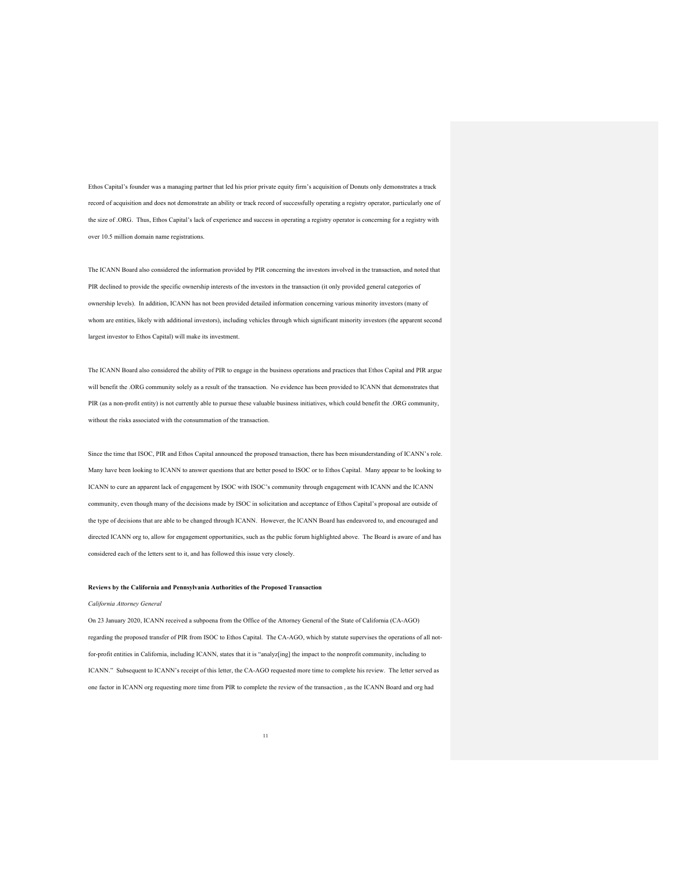Ethos Capital's founder was a managing partner that led his prior private equity firm's acquisition of Donuts only demonstrates a track record of acquisition and does not demonstrate an ability or track record of successfully operating a registry operator, particularly one of the size of .ORG. Thus, Ethos Capital's lack of experience and success in operating a registry operator is concerning for a registry with over 10.5 million domain name registrations.

The ICANN Board also considered the information provided by PIR concerning the investors involved in the transaction, and noted that PIR declined to provide the specific ownership interests of the investors in the transaction (it only provided general categories of ownership levels). In addition, ICANN has not been provided detailed information concerning various minority investors (many of whom are entities, likely with additional investors), including vehicles through which significant minority investors (the apparent second largest investor to Ethos Capital) will make its investment.

The ICANN Board also considered the ability of PIR to engage in the business operations and practices that Ethos Capital and PIR argue will benefit the .ORG community solely as a result of the transaction. No evidence has been provided to ICANN that demonstrates that PIR (as a non-profit entity) is not currently able to pursue these valuable business initiatives, which could benefit the .ORG community, without the risks associated with the consummation of the transaction.

Since the time that ISOC, PIR and Ethos Capital announced the proposed transaction, there has been misunderstanding of ICANN's role. Many have been looking to ICANN to answer questions that are better posed to ISOC or to Ethos Capital. Many appear to be looking to ICANN to cure an apparent lack of engagement by ISOC with ISOC's community through engagement with ICANN and the ICANN community, even though many of the decisions made by ISOC in solicitation and acceptance of Ethos Capital's proposal are outside of the type of decisions that are able to be changed through ICANN. However, the ICANN Board has endeavored to, and encouraged and directed ICANN org to, allow for engagement opportunities, such as the public forum highlighted above. The Board is aware of and has considered each of the letters sent to it, and has followed this issue very closely.

#### **Reviews by the California and Pennsylvania Authorities of the Proposed Transaction**

#### *California Attorney General*

On 23 January 2020, ICANN received a subpoena from the Office of the Attorney General of the State of California (CA-AGO) regarding the proposed transfer of PIR from ISOC to Ethos Capital. The CA-AGO, which by statute supervises the operations of all notfor-profit entities in California, including ICANN, states that it is "analyz[ing] the impact to the nonprofit community, including to ICANN." Subsequent to ICANN's receipt of this letter, the CA-AGO requested more time to complete his review. The letter served as one factor in ICANN org requesting more time from PIR to complete the review of the transaction , as the ICANN Board and org had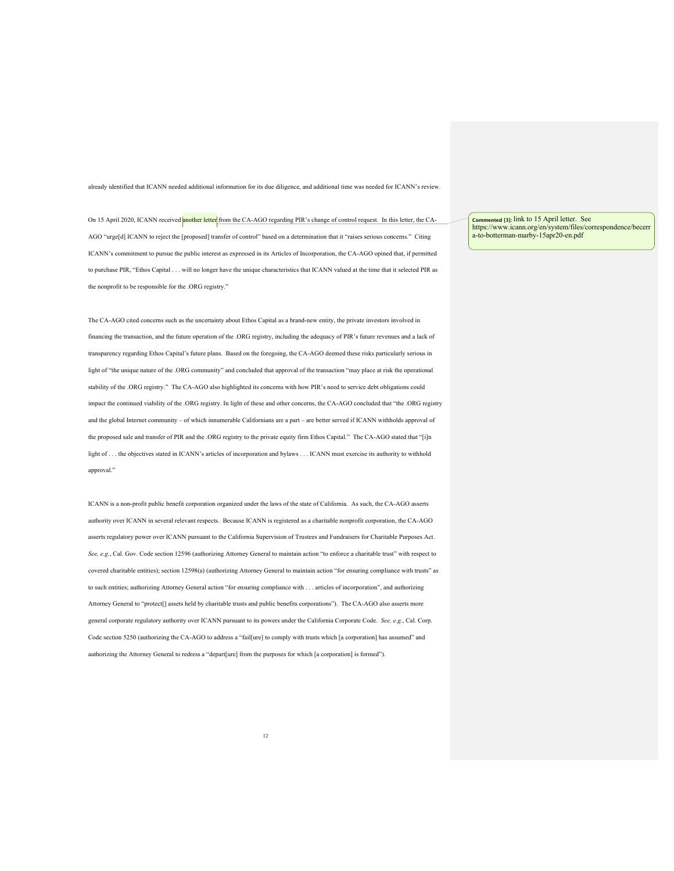already identified that ICANN needed additional information for its due diligence, and additional time was needed for ICANN's review.

On 15 April 2020, ICANN received another letter from the CA-AGO regarding PIR's change of control request. In this letter, the CA-AGO "urge[d] ICANN to reject the [proposed] transfer of control" based on a determination that it "raises serious concerns." Citing ICANN's commitment to pursue the public interest as expressed in its Articles of Incorporation, the CA-AGO opined that, if permitted to purchase PIR, "Ethos Capital . . . will no longer have the unique characteristics that ICANN valued at the time that it selected PIR as the nonprofit to be responsible for the .ORG registry."

The CA-AGO cited concerns such as the uncertainty about Ethos Capital as a brand-new entity, the private investors involved in financing the transaction, and the future operation of the .ORG registry, including the adequacy of PIR's future revenues and a lack of transparency regarding Ethos Capital's future plans. Based on the foregoing, the CA-AGO deemed these risks particularly serious in light of "the unique nature of the .ORG community" and concluded that approval of the transaction "may place at risk the operational stability of the .ORG registry." The CA-AGO also highlighted its concerns with how PIR's need to service debt obligations could impact the continued viability of the .ORG registry. In light of these and other concerns, the CA-AGO concluded that "the .ORG registry and the global Internet community – of which innumerable Californians are a part – are better served if ICANN withholds approval of the proposed sale and transfer of PIR and the .ORG registry to the private equity firm Ethos Capital." The CA-AGO stated that "[i]n light of . . . the objectives stated in ICANN's articles of incorporation and bylaws . . . ICANN must exercise its authority to withhold approval."

ICANN is a non-profit public benefit corporation organized under the laws of the state of California. As such, the CA-AGO asserts authority over ICANN in several relevant respects. Because ICANN is registered as a charitable nonprofit corporation, the CA-AGO asserts regulatory power over ICANN pursuant to the California Supervision of Trustees and Fundraisers for Charitable Purposes Act. *See, e.g.*, Cal. Gov. Code section 12596 (authorizing Attorney General to maintain action "to enforce a charitable trust" with respect to covered charitable entities); section 12598(a) (authorizing Attorney General to maintain action "for ensuring compliance with trusts" as to such entities; authorizing Attorney General action "for ensuring compliance with . . . articles of incorporation", and authorizing Attorney General to "protect[] assets held by charitable trusts and public benefits corporations"). The CA-AGO also asserts more general corporate regulatory authority over ICANN pursuant to its powers under the California Corporate Code. *See, e.g.*, Cal. Corp. Code section 5250 (authorizing the CA-AGO to address a "fail[ure] to comply with trusts which [a corporation] has assumed" and authorizing the Attorney General to redress a "depart[ure] from the purposes for which [a corporation] is formed").

**Commented [3]:** link to 15 April letter. See https://www.icann.org/en/system/files/correspondence/becerr a-to-botterman-marby-15apr20-en.pdf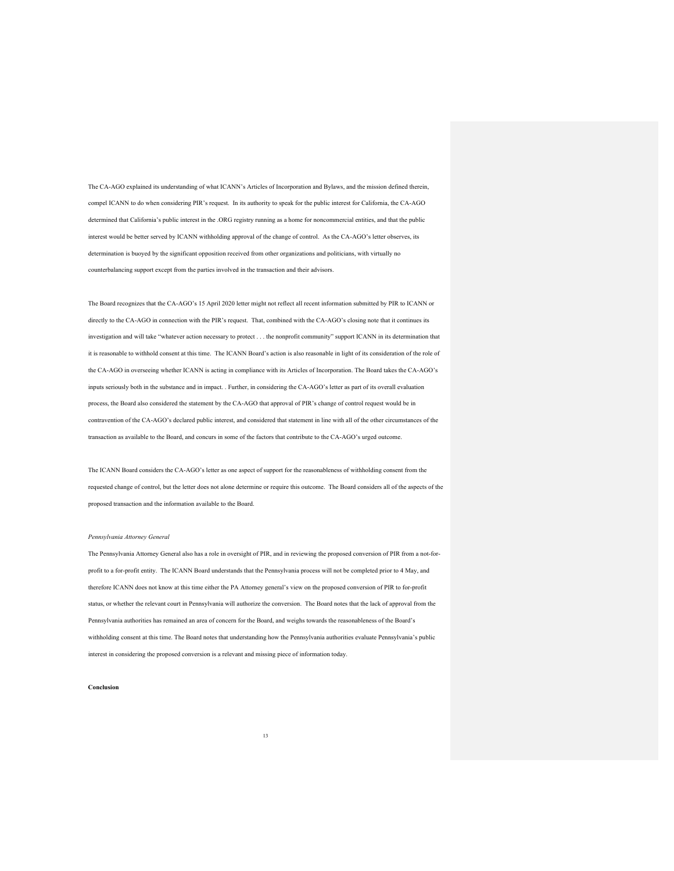The CA-AGO explained its understanding of what ICANN's Articles of Incorporation and Bylaws, and the mission defined therein, compel ICANN to do when considering PIR's request. In its authority to speak for the public interest for California, the CA-AGO determined that California's public interest in the .ORG registry running as a home for noncommercial entities, and that the public interest would be better served by ICANN withholding approval of the change of control. As the CA-AGO's letter observes, its determination is buoyed by the significant opposition received from other organizations and politicians, with virtually no counterbalancing support except from the parties involved in the transaction and their advisors.

The Board recognizes that the CA-AGO's 15 April 2020 letter might not reflect all recent information submitted by PIR to ICANN or directly to the CA-AGO in connection with the PIR's request. That, combined with the CA-AGO's closing note that it continues its investigation and will take "whatever action necessary to protect . . . the nonprofit community" support ICANN in its determination that it is reasonable to withhold consent at this time. The ICANN Board's action is also reasonable in light of its consideration of the role of the CA-AGO in overseeing whether ICANN is acting in compliance with its Articles of Incorporation. The Board takes the CA-AGO's inputs seriously both in the substance and in impact. . Further, in considering the CA-AGO's letter as part of its overall evaluation process, the Board also considered the statement by the CA-AGO that approval of PIR's change of control request would be in contravention of the CA-AGO's declared public interest, and considered that statement in line with all of the other circumstances of the transaction as available to the Board, and concurs in some of the factors that contribute to the CA-AGO's urged outcome.

The ICANN Board considers the CA-AGO's letter as one aspect of support for the reasonableness of withholding consent from the requested change of control, but the letter does not alone determine or require this outcome. The Board considers all of the aspects of the proposed transaction and the information available to the Board.

#### *Pennsylvania Attorney General*

The Pennsylvania Attorney General also has a role in oversight of PIR, and in reviewing the proposed conversion of PIR from a not-forprofit to a for-profit entity. The ICANN Board understands that the Pennsylvania process will not be completed prior to 4 May, and therefore ICANN does not know at this time either the PA Attorney general's view on the proposed conversion of PIR to for-profit status, or whether the relevant court in Pennsylvania will authorize the conversion. The Board notes that the lack of approval from the Pennsylvania authorities has remained an area of concern for the Board, and weighs towards the reasonableness of the Board's withholding consent at this time. The Board notes that understanding how the Pennsylvania authorities evaluate Pennsylvania's public interest in considering the proposed conversion is a relevant and missing piece of information today.

#### **Conclusion**